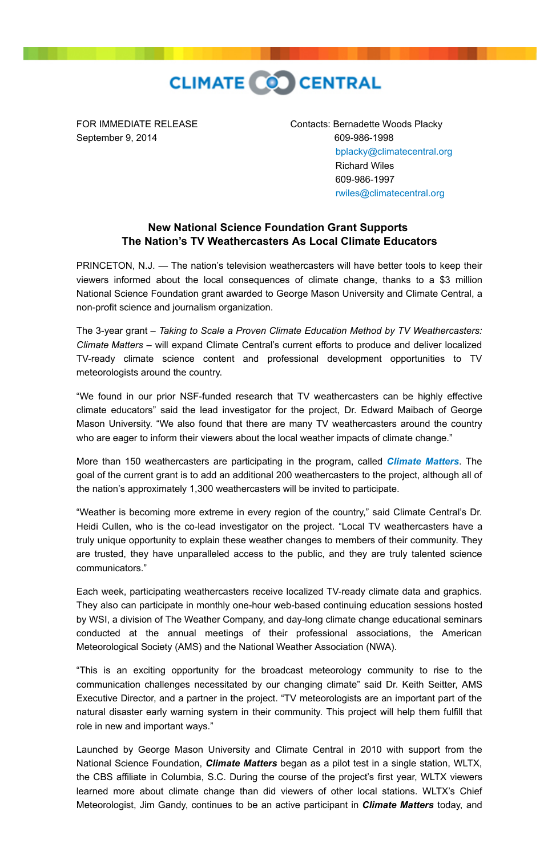

September 9, 2014 609-986-1998

FOR IMMEDIATE RELEASE Contacts: Bernadette Woods Placky [bplacky@climatecentral.org](mailto:bplacky@climatecentral.org) Richard Wiles 609-986-1997 [rwiles@climatecentral.org](mailto:rwiles@climatecentral.org)

## **New National Science Foundation Grant Supports The Nation's TV Weathercasters As Local Climate Educators**

PRINCETON, N.J. — The nation's television weathercasters will have better tools to keep their viewers informed about the local consequences of climate change, thanks to a \$3 million National Science Foundation grant awarded to George Mason University and Climate Central, a non-profit science and journalism organization.

The 3-year grant – *Taking to Scale a Proven Climate Education Method by TV Weathercasters: Climate Matters* – will expand Climate Central's current efforts to produce and deliver localized TV-ready climate science content and professional development opportunities to TV meteorologists around the country.

"We found in our prior NSF-funded research that TV weathercasters can be highly effective climate educators" said the lead investigator for the project, Dr. Edward Maibach of George Mason University. "We also found that there are many TV weathercasters around the country who are eager to inform their viewers about the local weather impacts of climate change."

More than 150 weathercasters are participating in the program, called *[Climate Matters](http://www.climatecentral.org/what-we-do/our-programs/climatematters/)*. The goal of the current grant is to add an additional 200 weathercasters to the project, although all of the nation's approximately 1,300 weathercasters will be invited to participate.

"Weather is becoming more extreme in every region of the country," said Climate Central's Dr. Heidi Cullen, who is the co-lead investigator on the project. "Local TV weathercasters have a truly unique opportunity to explain these weather changes to members of their community. They are trusted, they have unparalleled access to the public, and they are truly talented science communicators."

Each week, participating weathercasters receive localized TV-ready climate data and graphics. They also can participate in monthly one-hour web-based continuing education sessions hosted by WSI, a division of The Weather Company, and day-long climate change educational seminars conducted at the annual meetings of their professional associations, the American Meteorological Society (AMS) and the National Weather Association (NWA).

"This is an exciting opportunity for the broadcast meteorology community to rise to the communication challenges necessitated by our changing climate" said Dr. Keith Seitter, AMS Executive Director, and a partner in the project. "TV meteorologists are an important part of the natural disaster early warning system in their community. This project will help them fulfill that role in new and important ways."

Launched by George Mason University and Climate Central in 2010 with support from the National Science Foundation, *Climate Matters* began as a pilot test in a single station, WLTX, the CBS affiliate in Columbia, S.C. During the course of the project's first year, WLTX viewers learned more about climate change than did viewers of other local stations. WLTX's Chief Meteorologist, Jim Gandy, continues to be an active participant in *Climate Matters* today, and